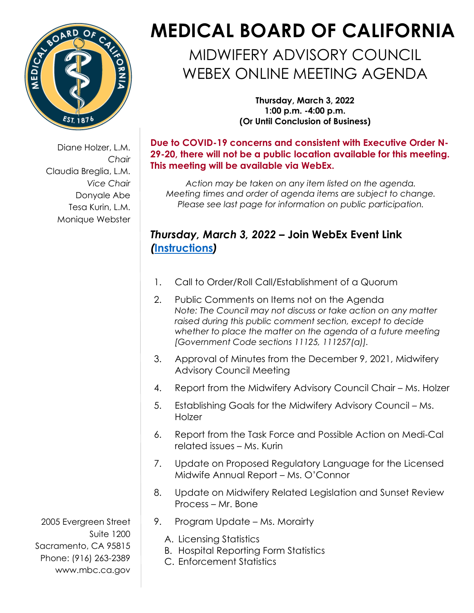

Diane Holzer, L.M. *Chair* Claudia Breglia, L.M. *Vice Chair* Donyale Abe Tesa Kurin, L.M. Monique Webster

## **MEDICAL BOARD OF CALIFORNIA**

MIDWIFERY ADVISORY COUNCIL WEBEX ONLINE MEETING AGENDA

> **Thursday, March 3, 2022 1:00 p.m. -4:00 p.m. (Or Until Conclusion of Business)**

**Due to COVID-19 concerns and consistent with Executive Order N-29-20, there will not be a public location available for this meeting. This meeting will be available via WebEx.** 

*Action may be taken on any item listed on the agenda. Meeting times and order of agenda items are subject to change. Please see last page for information on public participation.*

## *Thursday, March 3, 2022 –* **[Join WebEx Event Link](https://dca-meetings.webex.com/webappng/sites/dca-meetings/meeting/register/afb10d81d0a0488a9cd24c197713a6e5?ticket=4832534b00000005fe6fe6d17f261bb579d1fdc9d097b00533c9598721a7d5f4343a2e89eef55aae×tamp=1646249293955&locale=en_US)** *(***[Instructions](https://www.mbc.ca.gov/Download/User-Guides/HowToJoinAWebExEvent.pdf)***)*

- 1. Call to Order/Roll Call/Establishment of a Quorum
- 2. Public Comments on Items not on the Agenda *Note: The Council may not discuss or take action on any matter raised during this public comment section, except to decide whether to place the matter on the agenda of a future meeting [Government Code sections 11125, 111257(a)].*
- 3. Approval of Minutes from the December 9, 2021, Midwifery Advisory Council Meeting
- 4. Report from the Midwifery Advisory Council Chair Ms. Holzer
- 5. Establishing Goals for the Midwifery Advisory Council Ms. **Holzer**
- 6. Report from the Task Force and Possible Action on Medi-Cal related issues – Ms. Kurin
- 7. Update on Proposed Regulatory Language for the Licensed Midwife Annual Report – Ms. O'Connor
- 8. Update on Midwifery Related Legislation and Sunset Review Process – Mr. Bone
- 9. Program Update Ms. Morairty
	- A. Licensing Statistics
	- B. Hospital Reporting Form Statistics
	- C. Enforcement Statistics

2005 Evergreen Street Suite 1200 Sacramento, CA 95815 Phone: (916) 263-2389 [www.mbc.ca.gov](http://www.mbc.ca.gov/)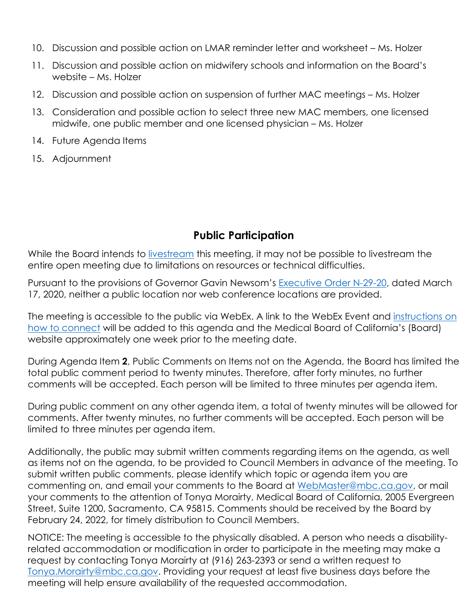- 10. Discussion and possible action on LMAR reminder letter and worksheet Ms. Holzer
- 11. Discussion and possible action on midwifery schools and information on the Board's website – Ms. Holzer
- 12. Discussion and possible action on suspension of further MAC meetings Ms. Holzer
- 13. Consideration and possible action to select three new MAC members, one licensed midwife, one public member and one licensed physician – Ms. Holzer
- 14. Future Agenda Items
- 15. Adjournment

## **Public Participation**

While the Board intends to [livestream](http://www.mbc.ca.gov/About_Us/Meetings/Livestream_and_Webcast_Details.aspx) this meeting, it may not be possible to livestream the entire open meeting due to limitations on resources or technical difficulties.

Pursuant to the provisions of Governor Gavin Newsom's [Executive Order N-29-20,](https://www.gov.ca.gov/wp-content/uploads/2020/03/3.17.20-N-29-20-EO.pdf) dated March 17, 2020, neither a public location nor web conference locations are provided.

The meeting is accessible to the public via WebEx. A link to the WebEx Event and instructions on [how to connect](https://www.mbc.ca.gov/Download/User-Guides/HowToJoinAWebExEvent.pdf) will be added to this agenda and the Medical Board of California's (Board) website approximately one week prior to the meeting date.

During Agenda Item **2**, Public Comments on Items not on the Agenda, the Board has limited the total public comment period to twenty minutes. Therefore, after forty minutes, no further comments will be accepted. Each person will be limited to three minutes per agenda item.

During public comment on any other agenda item, a total of twenty minutes will be allowed for comments. After twenty minutes, no further comments will be accepted. Each person will be limited to three minutes per agenda item.

Additionally, the public may submit written comments regarding items on the agenda, as well as items not on the agenda, to be provided to Council Members in advance of the meeting. To submit written public comments, please identify which topic or agenda item you are commenting on, and email your comments to the Board at WebMaster@mbc.ca.gov, or mail your comments to the attention of Tonya Morairty, Medical Board of California, 2005 Evergreen Street, Suite 1200, Sacramento, CA 95815. Comments should be received by the Board by February 24, 2022, for timely distribution to Council Members.

NOTICE: The meeting is accessible to the physically disabled. A person who needs a disabilityrelated accommodation or modification in order to participate in the meeting may make a request by contacting Tonya Morairty at (916) 263-2393 or send a written request to [Tonya.Morairty@mbc.ca.gov.](mailto:Tonya.Morairty@mbc.ca.gov) Providing your request at least five business days before the meeting will help ensure availability of the requested accommodation.